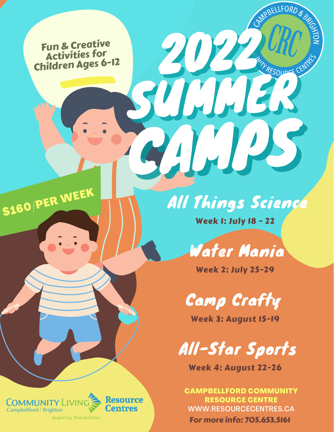Fun & Creative Activities for Children Ages 6-12

# All Things Science

Week 1: July 18 - 22

2022 Mill Mariage Company

**QELLFORD** 

ULLI 1

CAMPS IN



Week 2: July 25-29

Camp Crafty

Week 3: August 15-19



Week 4: August 22-26

CAMPBELLFORD COMMUNITY RESOURCE CENTRE WWW.RESOURCECENTRES.CA For more info: 705.653.5161



\$160/PER WEEK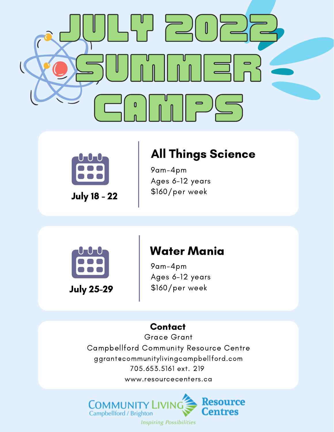



July 18 - 22

## All Things Science

9am-4pm Ages 6-12 years \$160/per week



### Water Mania

9am-4pm Ages 6-12 years \$160/per week

#### **Contact**

Grace Grant Campbellford Community Resource Centre ggrant@communitylivingcampbellford.com 705.653.5161 ext. 219 www.resourcecenters.ca